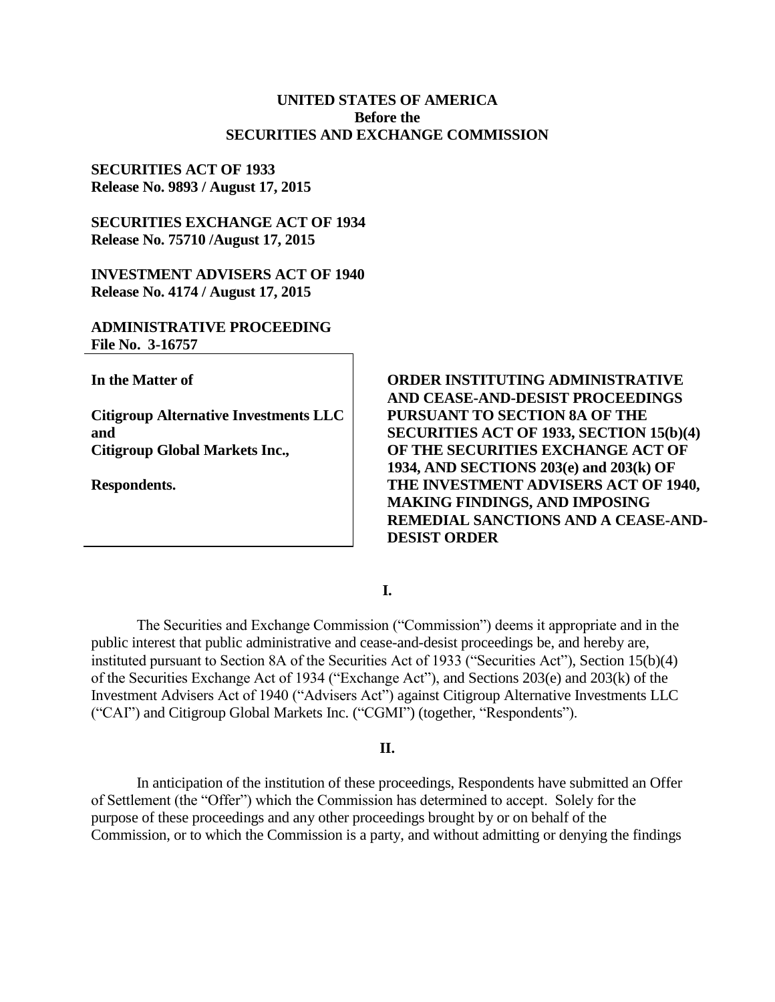### **UNITED STATES OF AMERICA Before the SECURITIES AND EXCHANGE COMMISSION**

## **SECURITIES ACT OF 1933 Release No. 9893 / August 17, 2015**

# **SECURITIES EXCHANGE ACT OF 1934 Release No. 75710 /August 17, 2015**

**INVESTMENT ADVISERS ACT OF 1940 Release No. 4174 / August 17, 2015**

## **ADMINISTRATIVE PROCEEDING File No. 3-16757**

**In the Matter of**

**Citigroup Alternative Investments LLC and Citigroup Global Markets Inc.,**

**Respondents.**

**ORDER INSTITUTING ADMINISTRATIVE AND CEASE-AND-DESIST PROCEEDINGS PURSUANT TO SECTION 8A OF THE SECURITIES ACT OF 1933, SECTION 15(b)(4) OF THE SECURITIES EXCHANGE ACT OF 1934, AND SECTIONS 203(e) and 203(k) OF THE INVESTMENT ADVISERS ACT OF 1940, MAKING FINDINGS, AND IMPOSING REMEDIAL SANCTIONS AND A CEASE-AND-DESIST ORDER** 

**I.**

The Securities and Exchange Commission ("Commission") deems it appropriate and in the public interest that public administrative and cease-and-desist proceedings be, and hereby are, instituted pursuant to Section 8A of the Securities Act of 1933 ("Securities Act"), Section 15(b)(4) of the Securities Exchange Act of 1934 ("Exchange Act"), and Sections 203(e) and 203(k) of the Investment Advisers Act of 1940 ("Advisers Act") against Citigroup Alternative Investments LLC ("CAI") and Citigroup Global Markets Inc. ("CGMI") (together, "Respondents").

### **II.**

In anticipation of the institution of these proceedings, Respondents have submitted an Offer of Settlement (the "Offer") which the Commission has determined to accept. Solely for the purpose of these proceedings and any other proceedings brought by or on behalf of the Commission, or to which the Commission is a party, and without admitting or denying the findings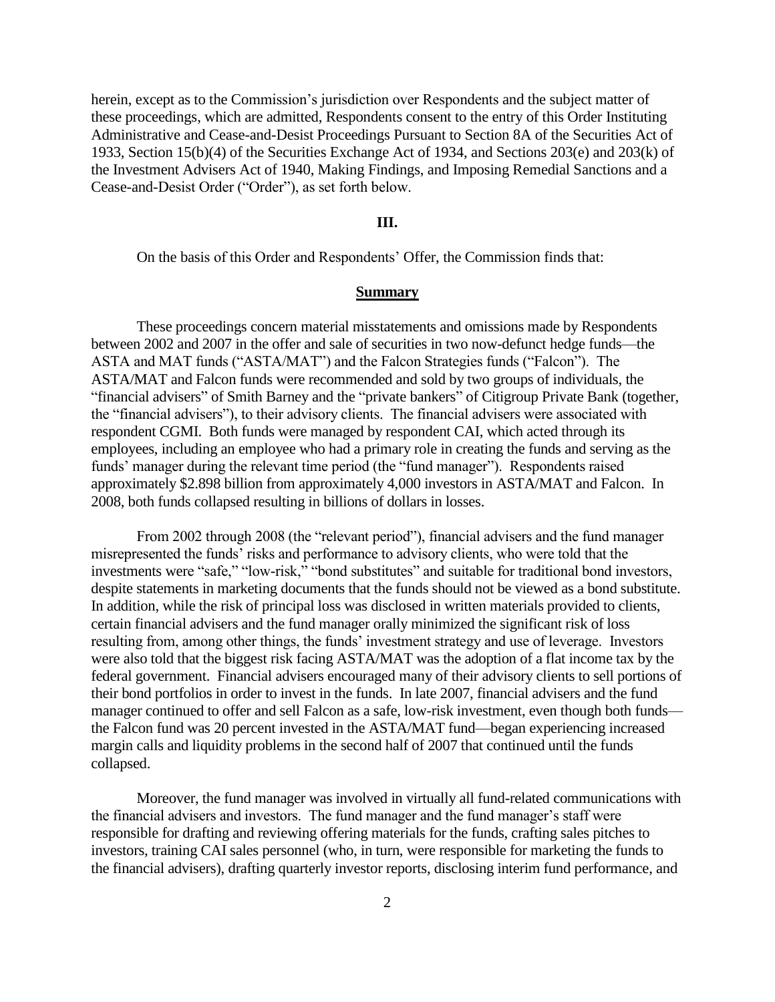herein, except as to the Commission's jurisdiction over Respondents and the subject matter of these proceedings, which are admitted, Respondents consent to the entry of this Order Instituting Administrative and Cease-and-Desist Proceedings Pursuant to Section 8A of the Securities Act of 1933, Section 15(b)(4) of the Securities Exchange Act of 1934, and Sections 203(e) and 203(k) of the Investment Advisers Act of 1940, Making Findings, and Imposing Remedial Sanctions and a Cease-and-Desist Order ("Order"), as set forth below.

#### **III.**

On the basis of this Order and Respondents' Offer, the Commission finds that:

#### **Summary**

These proceedings concern material misstatements and omissions made by Respondents between 2002 and 2007 in the offer and sale of securities in two now-defunct hedge funds—the ASTA and MAT funds ("ASTA/MAT") and the Falcon Strategies funds ("Falcon"). The ASTA/MAT and Falcon funds were recommended and sold by two groups of individuals, the "financial advisers" of Smith Barney and the "private bankers" of Citigroup Private Bank (together, the "financial advisers"), to their advisory clients. The financial advisers were associated with respondent CGMI. Both funds were managed by respondent CAI, which acted through its employees, including an employee who had a primary role in creating the funds and serving as the funds' manager during the relevant time period (the "fund manager"). Respondents raised approximately \$2.898 billion from approximately 4,000 investors in ASTA/MAT and Falcon. In 2008, both funds collapsed resulting in billions of dollars in losses.

From 2002 through 2008 (the "relevant period"), financial advisers and the fund manager misrepresented the funds' risks and performance to advisory clients, who were told that the investments were "safe," "low-risk," "bond substitutes" and suitable for traditional bond investors, despite statements in marketing documents that the funds should not be viewed as a bond substitute. In addition, while the risk of principal loss was disclosed in written materials provided to clients, certain financial advisers and the fund manager orally minimized the significant risk of loss resulting from, among other things, the funds' investment strategy and use of leverage. Investors were also told that the biggest risk facing ASTA/MAT was the adoption of a flat income tax by the federal government. Financial advisers encouraged many of their advisory clients to sell portions of their bond portfolios in order to invest in the funds. In late 2007, financial advisers and the fund manager continued to offer and sell Falcon as a safe, low-risk investment, even though both funds the Falcon fund was 20 percent invested in the ASTA/MAT fund—began experiencing increased margin calls and liquidity problems in the second half of 2007 that continued until the funds collapsed.

Moreover, the fund manager was involved in virtually all fund-related communications with the financial advisers and investors. The fund manager and the fund manager's staff were responsible for drafting and reviewing offering materials for the funds, crafting sales pitches to investors, training CAI sales personnel (who, in turn, were responsible for marketing the funds to the financial advisers), drafting quarterly investor reports, disclosing interim fund performance, and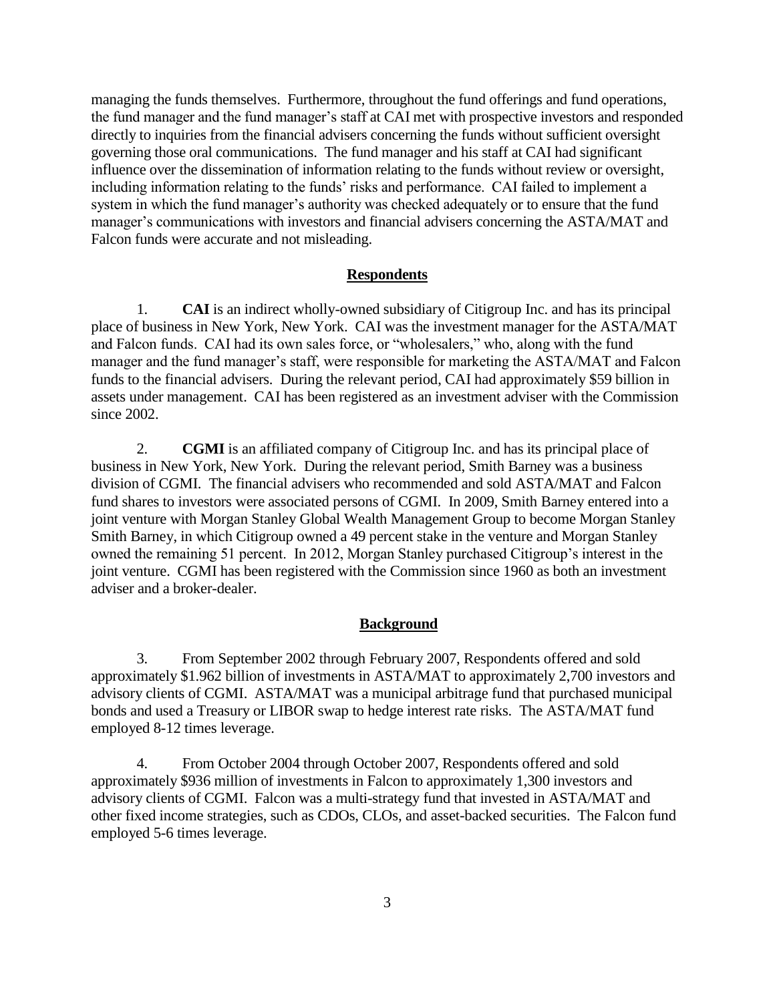managing the funds themselves. Furthermore, throughout the fund offerings and fund operations, the fund manager and the fund manager's staff at CAI met with prospective investors and responded directly to inquiries from the financial advisers concerning the funds without sufficient oversight governing those oral communications. The fund manager and his staff at CAI had significant influence over the dissemination of information relating to the funds without review or oversight, including information relating to the funds' risks and performance. CAI failed to implement a system in which the fund manager's authority was checked adequately or to ensure that the fund manager's communications with investors and financial advisers concerning the ASTA/MAT and Falcon funds were accurate and not misleading.

#### **Respondents**

1. **CAI** is an indirect wholly-owned subsidiary of Citigroup Inc. and has its principal place of business in New York, New York. CAI was the investment manager for the ASTA/MAT and Falcon funds. CAI had its own sales force, or "wholesalers," who, along with the fund manager and the fund manager's staff, were responsible for marketing the ASTA/MAT and Falcon funds to the financial advisers. During the relevant period, CAI had approximately \$59 billion in assets under management. CAI has been registered as an investment adviser with the Commission since 2002.

2. **CGMI** is an affiliated company of Citigroup Inc. and has its principal place of business in New York, New York. During the relevant period, Smith Barney was a business division of CGMI. The financial advisers who recommended and sold ASTA/MAT and Falcon fund shares to investors were associated persons of CGMI. In 2009, Smith Barney entered into a joint venture with Morgan Stanley Global Wealth Management Group to become Morgan Stanley Smith Barney, in which Citigroup owned a 49 percent stake in the venture and Morgan Stanley owned the remaining 51 percent. In 2012, Morgan Stanley purchased Citigroup's interest in the joint venture. CGMI has been registered with the Commission since 1960 as both an investment adviser and a broker-dealer.

### **Background**

3. From September 2002 through February 2007, Respondents offered and sold approximately \$1.962 billion of investments in ASTA/MAT to approximately 2,700 investors and advisory clients of CGMI. ASTA/MAT was a municipal arbitrage fund that purchased municipal bonds and used a Treasury or LIBOR swap to hedge interest rate risks. The ASTA/MAT fund employed 8-12 times leverage.

4. From October 2004 through October 2007, Respondents offered and sold approximately \$936 million of investments in Falcon to approximately 1,300 investors and advisory clients of CGMI. Falcon was a multi-strategy fund that invested in ASTA/MAT and other fixed income strategies, such as CDOs, CLOs, and asset-backed securities. The Falcon fund employed 5-6 times leverage.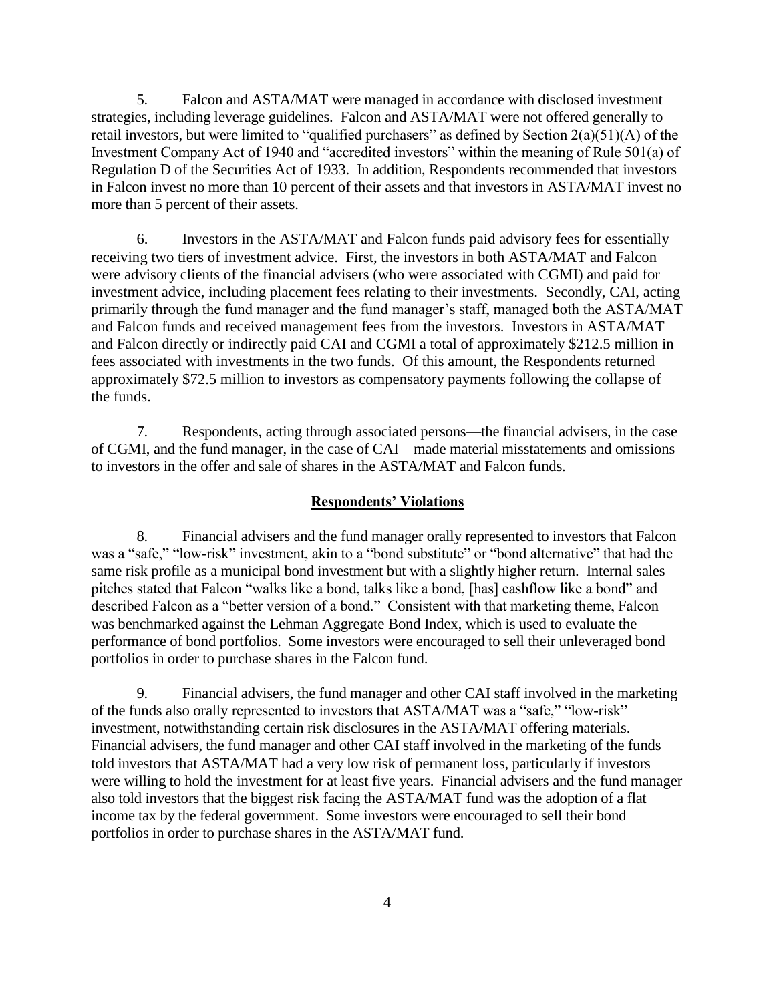5. Falcon and ASTA/MAT were managed in accordance with disclosed investment strategies, including leverage guidelines. Falcon and ASTA/MAT were not offered generally to retail investors, but were limited to "qualified purchasers" as defined by Section 2(a)(51)(A) of the Investment Company Act of 1940 and "accredited investors" within the meaning of Rule 501(a) of Regulation D of the Securities Act of 1933. In addition, Respondents recommended that investors in Falcon invest no more than 10 percent of their assets and that investors in ASTA/MAT invest no more than 5 percent of their assets.

6. Investors in the ASTA/MAT and Falcon funds paid advisory fees for essentially receiving two tiers of investment advice. First, the investors in both ASTA/MAT and Falcon were advisory clients of the financial advisers (who were associated with CGMI) and paid for investment advice, including placement fees relating to their investments. Secondly, CAI, acting primarily through the fund manager and the fund manager's staff, managed both the ASTA/MAT and Falcon funds and received management fees from the investors. Investors in ASTA/MAT and Falcon directly or indirectly paid CAI and CGMI a total of approximately \$212.5 million in fees associated with investments in the two funds. Of this amount, the Respondents returned approximately \$72.5 million to investors as compensatory payments following the collapse of the funds.

7. Respondents, acting through associated persons—the financial advisers, in the case of CGMI, and the fund manager, in the case of CAI—made material misstatements and omissions to investors in the offer and sale of shares in the ASTA/MAT and Falcon funds.

#### **Respondents' Violations**

8. Financial advisers and the fund manager orally represented to investors that Falcon was a "safe," "low-risk" investment, akin to a "bond substitute" or "bond alternative" that had the same risk profile as a municipal bond investment but with a slightly higher return. Internal sales pitches stated that Falcon "walks like a bond, talks like a bond, [has] cashflow like a bond" and described Falcon as a "better version of a bond." Consistent with that marketing theme, Falcon was benchmarked against the Lehman Aggregate Bond Index, which is used to evaluate the performance of bond portfolios. Some investors were encouraged to sell their unleveraged bond portfolios in order to purchase shares in the Falcon fund.

9. Financial advisers, the fund manager and other CAI staff involved in the marketing of the funds also orally represented to investors that ASTA/MAT was a "safe," "low-risk" investment, notwithstanding certain risk disclosures in the ASTA/MAT offering materials. Financial advisers, the fund manager and other CAI staff involved in the marketing of the funds told investors that ASTA/MAT had a very low risk of permanent loss, particularly if investors were willing to hold the investment for at least five years. Financial advisers and the fund manager also told investors that the biggest risk facing the ASTA/MAT fund was the adoption of a flat income tax by the federal government. Some investors were encouraged to sell their bond portfolios in order to purchase shares in the ASTA/MAT fund.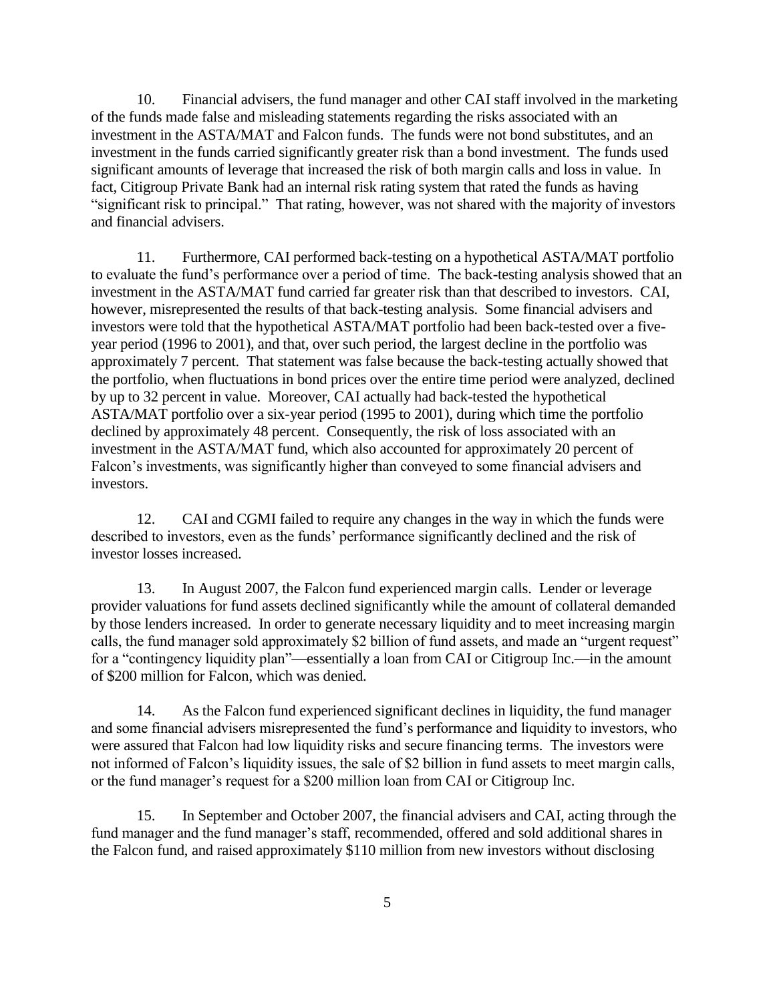10. Financial advisers, the fund manager and other CAI staff involved in the marketing of the funds made false and misleading statements regarding the risks associated with an investment in the ASTA/MAT and Falcon funds. The funds were not bond substitutes, and an investment in the funds carried significantly greater risk than a bond investment. The funds used significant amounts of leverage that increased the risk of both margin calls and loss in value. In fact, Citigroup Private Bank had an internal risk rating system that rated the funds as having "significant risk to principal." That rating, however, was not shared with the majority of investors and financial advisers.

11. Furthermore, CAI performed back-testing on a hypothetical ASTA/MAT portfolio to evaluate the fund's performance over a period of time. The back-testing analysis showed that an investment in the ASTA/MAT fund carried far greater risk than that described to investors. CAI, however, misrepresented the results of that back-testing analysis. Some financial advisers and investors were told that the hypothetical ASTA/MAT portfolio had been back-tested over a fiveyear period (1996 to 2001), and that, over such period, the largest decline in the portfolio was approximately 7 percent. That statement was false because the back-testing actually showed that the portfolio, when fluctuations in bond prices over the entire time period were analyzed, declined by up to 32 percent in value. Moreover, CAI actually had back-tested the hypothetical ASTA/MAT portfolio over a six-year period (1995 to 2001), during which time the portfolio declined by approximately 48 percent. Consequently, the risk of loss associated with an investment in the ASTA/MAT fund, which also accounted for approximately 20 percent of Falcon's investments, was significantly higher than conveyed to some financial advisers and investors.

12. CAI and CGMI failed to require any changes in the way in which the funds were described to investors, even as the funds' performance significantly declined and the risk of investor losses increased.

13. In August 2007, the Falcon fund experienced margin calls. Lender or leverage provider valuations for fund assets declined significantly while the amount of collateral demanded by those lenders increased. In order to generate necessary liquidity and to meet increasing margin calls, the fund manager sold approximately \$2 billion of fund assets, and made an "urgent request" for a "contingency liquidity plan"—essentially a loan from CAI or Citigroup Inc.—in the amount of \$200 million for Falcon, which was denied.

14. As the Falcon fund experienced significant declines in liquidity, the fund manager and some financial advisers misrepresented the fund's performance and liquidity to investors, who were assured that Falcon had low liquidity risks and secure financing terms. The investors were not informed of Falcon's liquidity issues, the sale of \$2 billion in fund assets to meet margin calls, or the fund manager's request for a \$200 million loan from CAI or Citigroup Inc.

15. In September and October 2007, the financial advisers and CAI, acting through the fund manager and the fund manager's staff, recommended, offered and sold additional shares in the Falcon fund, and raised approximately \$110 million from new investors without disclosing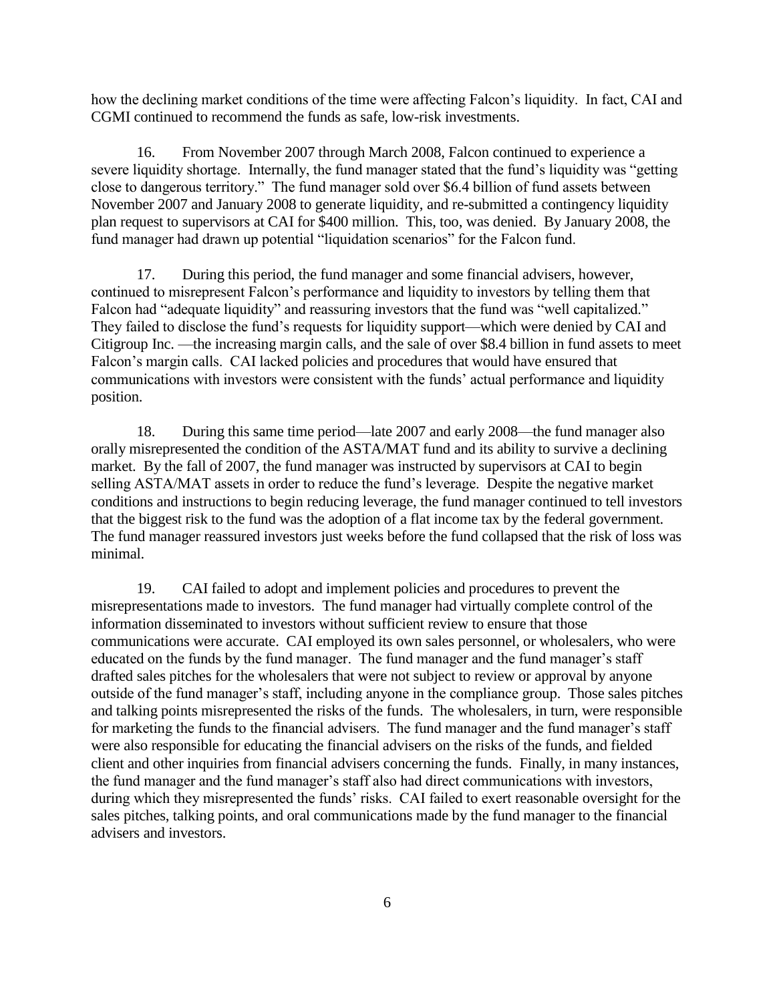how the declining market conditions of the time were affecting Falcon's liquidity. In fact, CAI and CGMI continued to recommend the funds as safe, low-risk investments.

16. From November 2007 through March 2008, Falcon continued to experience a severe liquidity shortage. Internally, the fund manager stated that the fund's liquidity was "getting close to dangerous territory." The fund manager sold over \$6.4 billion of fund assets between November 2007 and January 2008 to generate liquidity, and re-submitted a contingency liquidity plan request to supervisors at CAI for \$400 million. This, too, was denied. By January 2008, the fund manager had drawn up potential "liquidation scenarios" for the Falcon fund.

17. During this period, the fund manager and some financial advisers, however, continued to misrepresent Falcon's performance and liquidity to investors by telling them that Falcon had "adequate liquidity" and reassuring investors that the fund was "well capitalized." They failed to disclose the fund's requests for liquidity support—which were denied by CAI and Citigroup Inc. —the increasing margin calls, and the sale of over \$8.4 billion in fund assets to meet Falcon's margin calls. CAI lacked policies and procedures that would have ensured that communications with investors were consistent with the funds' actual performance and liquidity position.

18. During this same time period—late 2007 and early 2008—the fund manager also orally misrepresented the condition of the ASTA/MAT fund and its ability to survive a declining market. By the fall of 2007, the fund manager was instructed by supervisors at CAI to begin selling ASTA/MAT assets in order to reduce the fund's leverage. Despite the negative market conditions and instructions to begin reducing leverage, the fund manager continued to tell investors that the biggest risk to the fund was the adoption of a flat income tax by the federal government. The fund manager reassured investors just weeks before the fund collapsed that the risk of loss was minimal.

19. CAI failed to adopt and implement policies and procedures to prevent the misrepresentations made to investors. The fund manager had virtually complete control of the information disseminated to investors without sufficient review to ensure that those communications were accurate. CAI employed its own sales personnel, or wholesalers, who were educated on the funds by the fund manager. The fund manager and the fund manager's staff drafted sales pitches for the wholesalers that were not subject to review or approval by anyone outside of the fund manager's staff, including anyone in the compliance group. Those sales pitches and talking points misrepresented the risks of the funds. The wholesalers, in turn, were responsible for marketing the funds to the financial advisers. The fund manager and the fund manager's staff were also responsible for educating the financial advisers on the risks of the funds, and fielded client and other inquiries from financial advisers concerning the funds. Finally, in many instances, the fund manager and the fund manager's staff also had direct communications with investors, during which they misrepresented the funds' risks. CAI failed to exert reasonable oversight for the sales pitches, talking points, and oral communications made by the fund manager to the financial advisers and investors.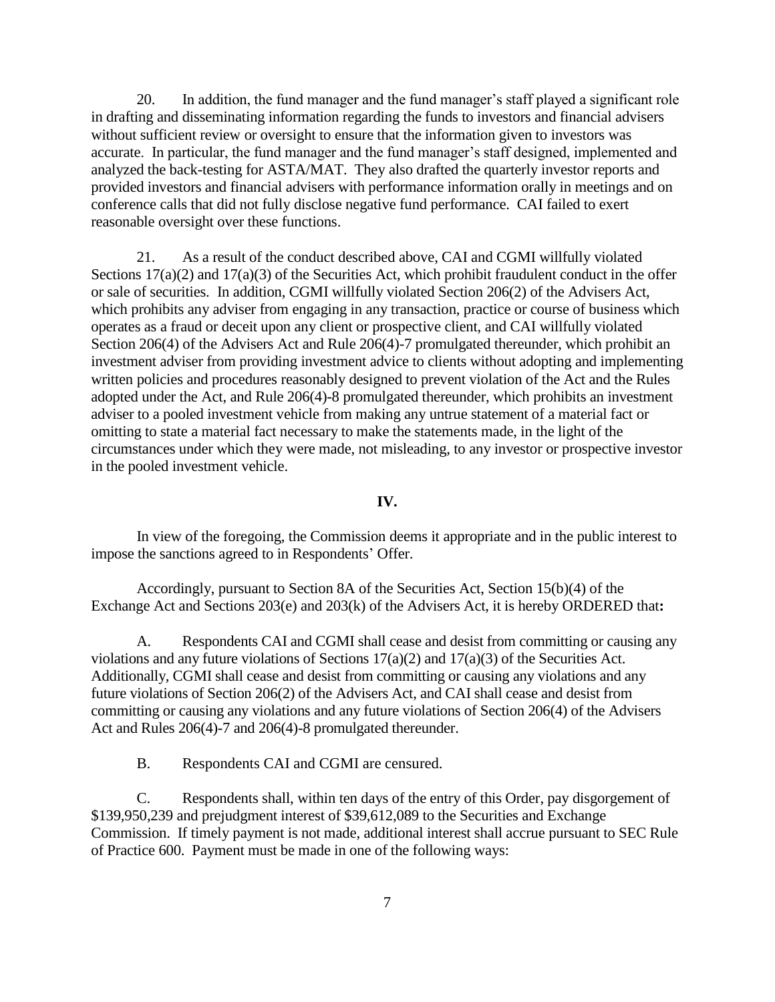20. In addition, the fund manager and the fund manager's staff played a significant role in drafting and disseminating information regarding the funds to investors and financial advisers without sufficient review or oversight to ensure that the information given to investors was accurate. In particular, the fund manager and the fund manager's staff designed, implemented and analyzed the back-testing for ASTA/MAT. They also drafted the quarterly investor reports and provided investors and financial advisers with performance information orally in meetings and on conference calls that did not fully disclose negative fund performance. CAI failed to exert reasonable oversight over these functions.

21. As a result of the conduct described above, CAI and CGMI willfully violated Sections  $17(a)(2)$  and  $17(a)(3)$  of the Securities Act, which prohibit fraudulent conduct in the offer or sale of securities. In addition, CGMI willfully violated Section 206(2) of the Advisers Act, which prohibits any adviser from engaging in any transaction, practice or course of business which operates as a fraud or deceit upon any client or prospective client, and CAI willfully violated Section 206(4) of the Advisers Act and Rule 206(4)-7 promulgated thereunder, which prohibit an investment adviser from providing investment advice to clients without adopting and implementing written policies and procedures reasonably designed to prevent violation of the Act and the Rules adopted under the Act, and Rule 206(4)-8 promulgated thereunder, which prohibits an investment adviser to a pooled investment vehicle from making any untrue statement of a material fact or omitting to state a material fact necessary to make the statements made, in the light of the circumstances under which they were made, not misleading, to any investor or prospective investor in the pooled investment vehicle.

**IV.**

In view of the foregoing, the Commission deems it appropriate and in the public interest to impose the sanctions agreed to in Respondents' Offer.

Accordingly, pursuant to Section 8A of the Securities Act, Section 15(b)(4) of the Exchange Act and Sections 203(e) and 203(k) of the Advisers Act, it is hereby ORDERED that**:**

A. Respondents CAI and CGMI shall cease and desist from committing or causing any violations and any future violations of Sections 17(a)(2) and 17(a)(3) of the Securities Act. Additionally, CGMI shall cease and desist from committing or causing any violations and any future violations of Section 206(2) of the Advisers Act, and CAI shall cease and desist from committing or causing any violations and any future violations of Section 206(4) of the Advisers Act and Rules 206(4)-7 and 206(4)-8 promulgated thereunder.

B. Respondents CAI and CGMI are censured.

C. Respondents shall, within ten days of the entry of this Order, pay disgorgement of \$139,950,239 and prejudgment interest of \$39,612,089 to the Securities and Exchange Commission. If timely payment is not made, additional interest shall accrue pursuant to SEC Rule of Practice 600. Payment must be made in one of the following ways: